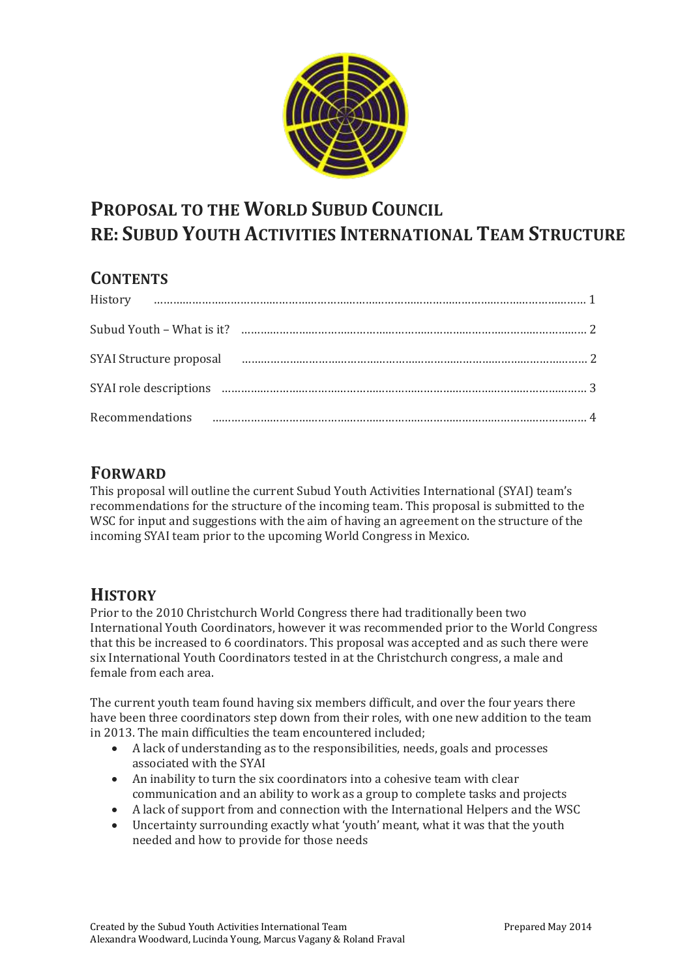

# **PROPOSAL TO THE WORLD SUBUD COUNCIL RE: SUBUD YOUTH ACTIVITIES INTERNATIONAL TEAM STRUCTURE**

# **CONTENTS**

| SYAI Structure proposal manufacture and contract the contract of the contract of the contract of the contract of the contract of the contract of the contract of the contract of the contract of the contract of the contract |  |
|-------------------------------------------------------------------------------------------------------------------------------------------------------------------------------------------------------------------------------|--|
|                                                                                                                                                                                                                               |  |
|                                                                                                                                                                                                                               |  |

#### **FORWARD**

This proposal will outline the current Subud Youth Activities International (SYAI) team's recommendations for the structure of the incoming team. This proposal is submitted to the WSC for input and suggestions with the aim of having an agreement on the structure of the incoming SYAI team prior to the upcoming World Congress in Mexico.

### **HISTORY**

Prior to the 2010 Christchurch World Congress there had traditionally been two International Youth Coordinators, however it was recommended prior to the World Congress that this be increased to 6 coordinators. This proposal was accepted and as such there were six International Youth Coordinators tested in at the Christchurch congress, a male and female from each area.

The current youth team found having six members difficult, and over the four years there have been three coordinators step down from their roles, with one new addition to the team in 2013. The main difficulties the team encountered included;

- A lack of understanding as to the responsibilities, needs, goals and processes associated with the SYAI
- An inability to turn the six coordinators into a cohesive team with clear communication and an ability to work as a group to complete tasks and projects
- A lack of support from and connection with the International Helpers and the WSC
- Uncertainty surrounding exactly what 'youth' meant, what it was that the youth needed and how to provide for those needs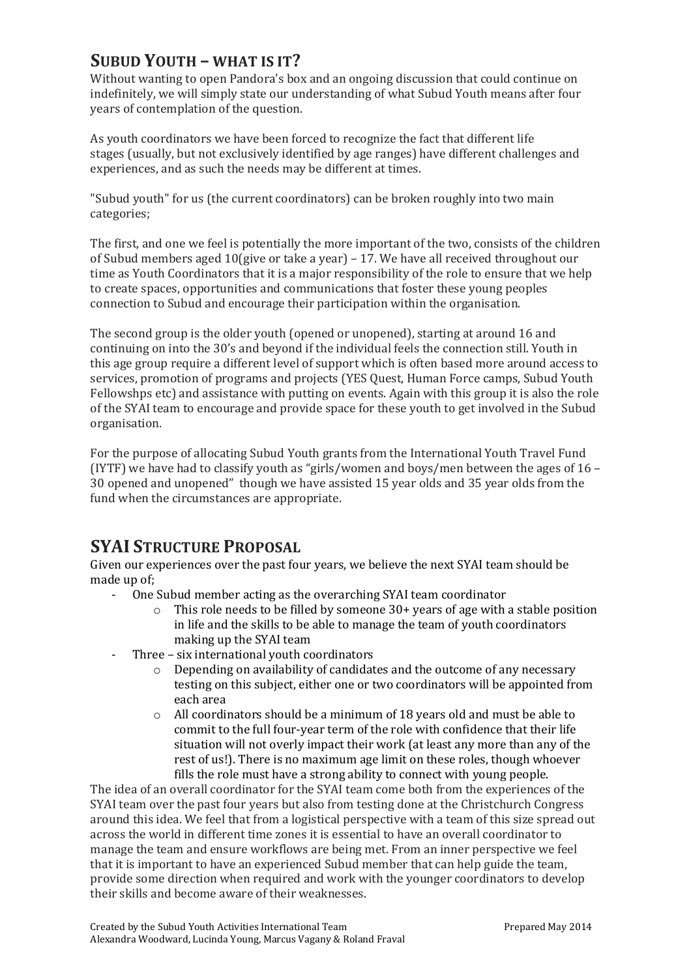# **SUBUD YOUTH – WHAT IS IT?**

Without wanting to open Pandora's box and an ongoing discussion that could continue on indefinitely, we will simply state our understanding of what Subud Youth means after four years of contemplation of the question.

As youth coordinators we have been forced to recognize the fact that different life stages (usually, but not exclusively identified by age ranges) have different challenges and experiences, and as such the needs may be different at times.

"Subud youth" for us (the current coordinators) can be broken roughly into two main categories;

The first, and one we feel is potentially the more important of the two, consists of the children of Subud members aged 10(give or take a year) – 17. We have all received throughout our time as Youth Coordinators that it is a major responsibility of the role to ensure that we help to create spaces, opportunities and communications that foster these young peoples connection to Subud and encourage their participation within the organisation.

The second group is the older youth (opened or unopened), starting at around 16 and continuing on into the 30's and beyond if the individual feels the connection still. Youth in this age group require a different level of support which is often based more around access to services, promotion of programs and projects (YES Quest, Human Force camps, Subud Youth Fellowshps etc) and assistance with putting on events. Again with this group it is also the role of the SYAI team to encourage and provide space for these youth to get involved in the Subud organisation.

For the purpose of allocating Subud Youth grants from the International Youth Travel Fund (IYTF) we have had to classify youth as "girls/women and boys/men between the ages of 16 – 30 opened and unopened" though we have assisted 15 year olds and 35 year olds from the fund when the circumstances are appropriate.

### **SYAI STRUCTURE PROPOSAL**

Given our experiences over the past four years, we believe the next SYAI team should be made up of;

- One Subud member acting as the overarching SYAI team coordinator
	- o This role needs to be filled by someone 30+ years of age with a stable position in life and the skills to be able to manage the team of youth coordinators making up the SYAI team
- Three six international youth coordinators
	- o Depending on availability of candidates and the outcome of any necessary testing on this subject, either one or two coordinators will be appointed from each area
	- o All coordinators should be a minimum of 18 years old and must be able to commit to the full four-year term of the role with confidence that their life situation will not overly impact their work (at least any more than any of the rest of us!). There is no maximum age limit on these roles, though whoever fills the role must have a strong ability to connect with young people.

The idea of an overall coordinator for the SYAI team come both from the experiences of the SYAI team over the past four years but also from testing done at the Christchurch Congress around this idea. We feel that from a logistical perspective with a team of this size spread out across the world in different time zones it is essential to have an overall coordinator to manage the team and ensure workflows are being met. From an inner perspective we feel that it is important to have an experienced Subud member that can help guide the team, provide some direction when required and work with the younger coordinators to develop their skills and become aware of their weaknesses.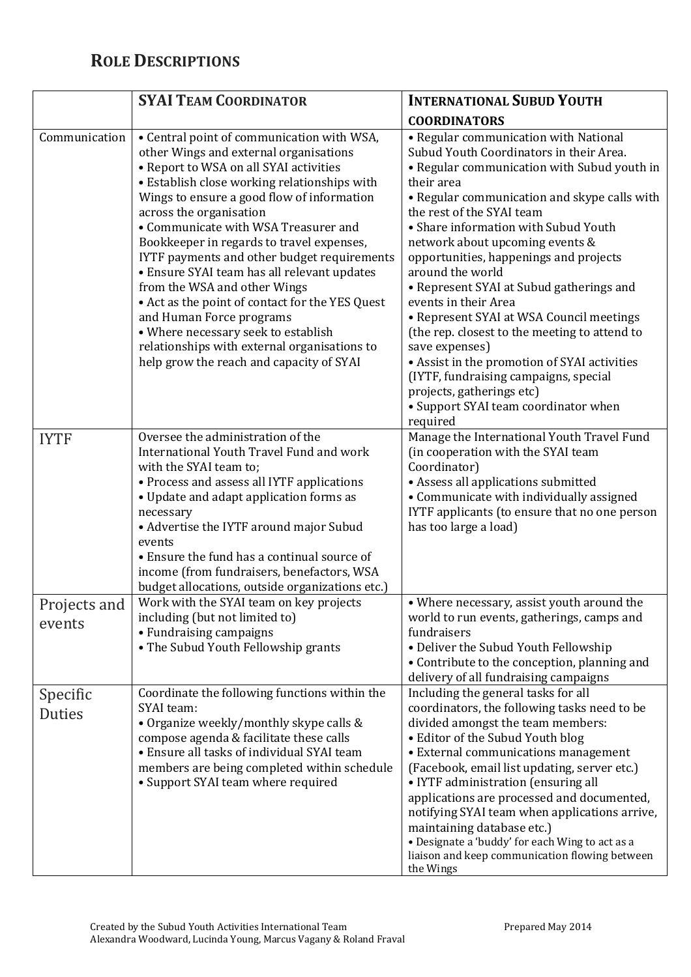# **ROLE DESCRIPTIONS**

|                           | <b>SYAI TEAM COORDINATOR</b>                                                                                                                                                                                                                                                                                                                                                                                                                                                                                                                                                                                                                                                                 | <b>INTERNATIONAL SUBUD YOUTH</b>                                                                                                                                                                                                                                                                                                                                                                                                                                                                                                                                                                                                                                                                                                 |
|---------------------------|----------------------------------------------------------------------------------------------------------------------------------------------------------------------------------------------------------------------------------------------------------------------------------------------------------------------------------------------------------------------------------------------------------------------------------------------------------------------------------------------------------------------------------------------------------------------------------------------------------------------------------------------------------------------------------------------|----------------------------------------------------------------------------------------------------------------------------------------------------------------------------------------------------------------------------------------------------------------------------------------------------------------------------------------------------------------------------------------------------------------------------------------------------------------------------------------------------------------------------------------------------------------------------------------------------------------------------------------------------------------------------------------------------------------------------------|
|                           |                                                                                                                                                                                                                                                                                                                                                                                                                                                                                                                                                                                                                                                                                              | <b>COORDINATORS</b>                                                                                                                                                                                                                                                                                                                                                                                                                                                                                                                                                                                                                                                                                                              |
| Communication             | • Central point of communication with WSA,<br>other Wings and external organisations<br>• Report to WSA on all SYAI activities<br>• Establish close working relationships with<br>Wings to ensure a good flow of information<br>across the organisation<br>• Communicate with WSA Treasurer and<br>Bookkeeper in regards to travel expenses,<br>IYTF payments and other budget requirements<br>• Ensure SYAI team has all relevant updates<br>from the WSA and other Wings<br>• Act as the point of contact for the YES Quest<br>and Human Force programs<br>• Where necessary seek to establish<br>relationships with external organisations to<br>help grow the reach and capacity of SYAI | • Regular communication with National<br>Subud Youth Coordinators in their Area.<br>• Regular communication with Subud youth in<br>their area<br>• Regular communication and skype calls with<br>the rest of the SYAI team<br>• Share information with Subud Youth<br>network about upcoming events &<br>opportunities, happenings and projects<br>around the world<br>• Represent SYAI at Subud gatherings and<br>events in their Area<br>• Represent SYAI at WSA Council meetings<br>(the rep. closest to the meeting to attend to<br>save expenses)<br>• Assist in the promotion of SYAI activities<br>(IYTF, fundraising campaigns, special<br>projects, gatherings etc)<br>• Support SYAI team coordinator when<br>required |
| <b>IYTF</b>               | Oversee the administration of the<br>International Youth Travel Fund and work<br>with the SYAI team to;<br>• Process and assess all IYTF applications<br>• Update and adapt application forms as<br>necessary<br>• Advertise the IYTF around major Subud<br>events<br>• Ensure the fund has a continual source of<br>income (from fundraisers, benefactors, WSA<br>budget allocations, outside organizations etc.)                                                                                                                                                                                                                                                                           | Manage the International Youth Travel Fund<br>(in cooperation with the SYAI team<br>Coordinator)<br>• Assess all applications submitted<br>• Communicate with individually assigned<br>IYTF applicants (to ensure that no one person<br>has too large a load)                                                                                                                                                                                                                                                                                                                                                                                                                                                                    |
| Projects and<br>events    | Work with the SYAI team on key projects<br>including (but not limited to)<br>• Fundraising campaigns<br>• The Subud Youth Fellowship grants                                                                                                                                                                                                                                                                                                                                                                                                                                                                                                                                                  | • Where necessary, assist youth around the<br>world to run events, gatherings, camps and<br>fundraisers<br>• Deliver the Subud Youth Fellowship<br>• Contribute to the conception, planning and<br>delivery of all fundraising campaigns                                                                                                                                                                                                                                                                                                                                                                                                                                                                                         |
| Specific<br><b>Duties</b> | Coordinate the following functions within the<br>SYAI team:<br>• Organize weekly/monthly skype calls &<br>compose agenda & facilitate these calls<br>• Ensure all tasks of individual SYAI team<br>members are being completed within schedule<br>• Support SYAI team where required                                                                                                                                                                                                                                                                                                                                                                                                         | Including the general tasks for all<br>coordinators, the following tasks need to be<br>divided amongst the team members:<br>• Editor of the Subud Youth blog<br>• External communications management<br>(Facebook, email list updating, server etc.)<br>• IYTF administration (ensuring all<br>applications are processed and documented,<br>notifying SYAI team when applications arrive,<br>maintaining database etc.)<br>• Designate a 'buddy' for each Wing to act as a<br>liaison and keep communication flowing between<br>the Wings                                                                                                                                                                                       |